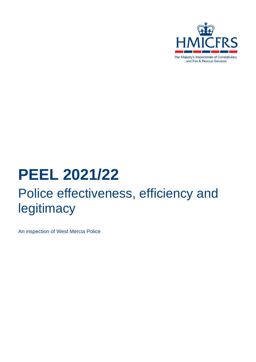

# **PEEL 2021/22** Police effectiveness, efficiency and legitimacy

An inspection of West Mercia Police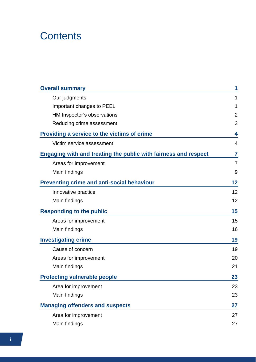# **Contents**

| <b>Overall summary</b>                                                 | 1  |  |  |  |
|------------------------------------------------------------------------|----|--|--|--|
| Our judgments                                                          | 1  |  |  |  |
| Important changes to PEEL                                              |    |  |  |  |
| HM Inspector's observations                                            | 2  |  |  |  |
| Reducing crime assessment                                              | 3  |  |  |  |
| Providing a service to the victims of crime                            | 4  |  |  |  |
| Victim service assessment                                              | 4  |  |  |  |
| <b>Engaging with and treating the public with fairness and respect</b> | 7  |  |  |  |
| Areas for improvement                                                  | 7  |  |  |  |
| Main findings                                                          | 9  |  |  |  |
| <b>Preventing crime and anti-social behaviour</b>                      | 12 |  |  |  |
| Innovative practice                                                    | 12 |  |  |  |
| Main findings                                                          | 12 |  |  |  |
| <b>Responding to the public</b>                                        | 15 |  |  |  |
| Areas for improvement                                                  | 15 |  |  |  |
| Main findings                                                          | 16 |  |  |  |
| <b>Investigating crime</b>                                             | 19 |  |  |  |
| Cause of concern                                                       | 19 |  |  |  |
| Areas for improvement                                                  | 20 |  |  |  |
| Main findings                                                          | 21 |  |  |  |
| <b>Protecting vulnerable people</b>                                    | 23 |  |  |  |
| Area for improvement                                                   | 23 |  |  |  |
| Main findings                                                          | 23 |  |  |  |
| <b>Managing offenders and suspects</b>                                 | 27 |  |  |  |
| Area for improvement                                                   | 27 |  |  |  |
| Main findings                                                          | 27 |  |  |  |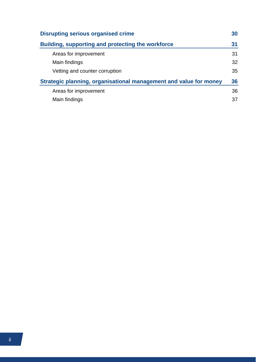| <b>Disrupting serious organised crime</b>                         | 30 |
|-------------------------------------------------------------------|----|
| <b>Building, supporting and protecting the workforce</b>          | 31 |
| Areas for improvement                                             | 31 |
| Main findings                                                     | 32 |
| Vetting and counter corruption                                    | 35 |
| Strategic planning, organisational management and value for money |    |
| Areas for improvement                                             | 36 |
| Main findings                                                     | 37 |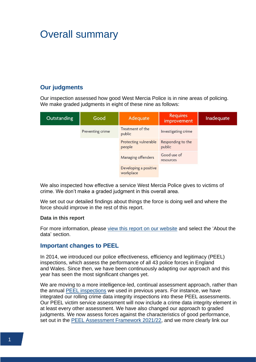# <span id="page-3-0"></span>Overall summary

# <span id="page-3-1"></span>**Our judgments**

Our inspection assessed how good West Mercia Police is in nine areas of policing. We make graded judgments in eight of these nine as follows:

| Outstanding | Good             | Adequate                           | <b>Requires</b><br>improvement | Inadequate |
|-------------|------------------|------------------------------------|--------------------------------|------------|
|             | Preventing crime | Treatment of the<br>public         | Investigating crime            |            |
|             |                  | Protecting vulnerable<br>people    | Responding to the<br>public    |            |
|             |                  | Managing offenders                 | Good use of<br>resources       |            |
|             |                  | Developing a positive<br>workplace |                                |            |

We also inspected how effective a service West Mercia Police gives to victims of crime. We don't make a graded judgment in this overall area.

We set out our detailed findings about things the force is doing well and where the force should improve in the rest of this report.

#### **Data in this report**

For more information, please [view this report on our website](https://www.justiceinspectorates.gov.uk/hmicfrs/peel-assessments/peel-assessments-2021-22/west-mercia) and select the 'About the data' section.

### <span id="page-3-2"></span>**Important changes to PEEL**

In 2014, we introduced our police effectiveness, efficiency and legitimacy (PEEL) inspections, which assess the performance of all 43 police forces in England and Wales. Since then, we have been continuously adapting our approach and this year has seen the most significant changes yet.

We are moving to a more intelligence-led, continual assessment approach, rather than the annual [PEEL inspections](https://www.justiceinspectorates.gov.uk/hmicfrs/peel-assessments/how-we-inspect/2021-22-peel-assessment/#_blank) we used in previous years. For instance, we have integrated our rolling crime data integrity inspections into these PEEL assessments. Our PEEL victim service assessment will now include a crime data integrity element in at least every other assessment. We have also changed our approach to graded judgments. We now assess forces against the characteristics of good performance, set out in the [PEEL Assessment Framework 2021/22,](https://www.justiceinspectorates.gov.uk/hmicfrs/publication-html/peel-assessment-framework-2021-22-revised) and we more clearly link our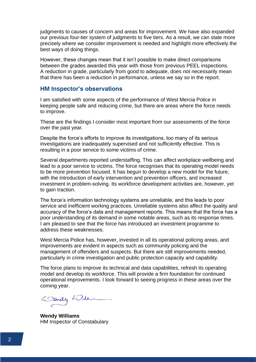judgments to causes of concern and areas for improvement. We have also expanded our previous four-tier system of judgments to five tiers. As a result, we can state more precisely where we consider improvement is needed and highlight more effectively the best ways of doing things.

However, these changes mean that it isn't possible to make direct comparisons between the grades awarded this year with those from previous PEEL inspections. A reduction in grade, particularly from good to adequate, does not necessarily mean that there has been a reduction in performance, unless we say so in the report.

### <span id="page-4-0"></span>**HM Inspector's observations**

I am satisfied with some aspects of the performance of West Mercia Police in keeping people safe and reducing crime, but there are areas where the force needs to improve.

These are the findings I consider most important from our assessments of the force over the past year.

Despite the force's efforts to improve its investigations, too many of its serious investigations are inadequately supervised and not sufficiently effective. This is resulting in a poor service to some victims of crime.

Several departments reported understaffing. This can affect workplace wellbeing and lead to a poor service to victims. The force recognises that its operating model needs to be more prevention focused. It has begun to develop a new model for the future, with the introduction of early intervention and prevention officers, and increased investment in problem-solving. Its workforce development activities are, however, yet to gain traction.

The force's information technology systems are unreliable, and this leads to poor service and inefficient working practices. Unreliable systems also affect the quality and accuracy of the force's data and management reports. This means that the force has a poor understanding of its demand in some notable areas, such as its response times. I am pleased to see that the force has introduced an investment programme to address these weaknesses.

West Mercia Police has, however, invested in all its operational policing areas, and improvements are evident in aspects such as community policing and the management of offenders and suspects. But there are still improvements needed, particularly in crime investigation and public protection capacity and capability.

The force plans to improve its technical and data capabilities, refresh its operating model and develop its workforce. This will provide a firm foundation for continued operational improvements. I look forward to seeing progress in these areas over the coming year.

Dendy Will

**Wendy Williams** HM Inspector of Constabulary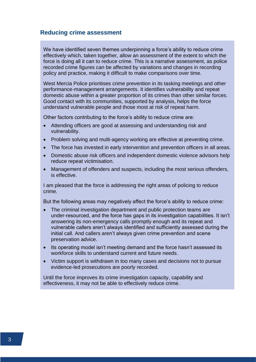#### <span id="page-5-0"></span>**Reducing crime assessment**

We have identified seven themes underpinning a force's ability to reduce crime effectively which, taken together, allow an assessment of the extent to which the force is doing all it can to reduce crime. This is a narrative assessment, as police recorded crime figures can be affected by variations and changes in recording policy and practice, making it difficult to make comparisons over time.

West Mercia Police prioritises crime prevention in its tasking meetings and other performance-management arrangements. It identifies vulnerability and repeat domestic abuse within a greater proportion of its crimes than other similar forces. Good contact with its communities, supported by analysis, helps the force understand vulnerable people and those most at risk of repeat harm.

Other factors contributing to the force's ability to reduce crime are:

- Attending officers are good at assessing and understanding risk and vulnerability.
- Problem solving and multi-agency working are effective at preventing crime.
- The force has invested in early intervention and prevention officers in all areas.
- Domestic abuse risk officers and independent domestic violence advisors help reduce repeat victimisation.
- Management of offenders and suspects, including the most serious offenders, is effective.

I am pleased that the force is addressing the right areas of policing to reduce crime.

But the following areas may negatively affect the force's ability to reduce crime:

- The criminal investigation department and public protection teams are under-resourced, and the force has gaps in its investigation capabilities. It isn't answering its non-emergency calls promptly enough and its repeat and vulnerable callers aren't always identified and sufficiently assessed during the initial call. And callers aren't always given crime prevention and scene preservation advice.
- Its operating model isn't meeting demand and the force hasn't assessed its workforce skills to understand current and future needs.
- Victim support is withdrawn in too many cases and decisions not to pursue evidence-led prosecutions are poorly recorded.

Until the force improves its crime investigation capacity, capability and effectiveness, it may not be able to effectively reduce crime.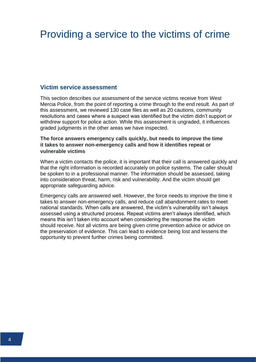# <span id="page-6-0"></span>Providing a service to the victims of crime

#### <span id="page-6-1"></span>**Victim service assessment**

This section describes our assessment of the service victims receive from West Mercia Police, from the point of reporting a crime through to the end result. As part of this assessment, we reviewed 130 case files as well as 20 cautions, community resolutions and cases where a suspect was identified but the victim didn't support or withdrew support for police action. While this assessment is ungraded, it influences graded judgments in the other areas we have inspected.

#### **The force answers emergency calls quickly, but needs to improve the time it takes to answer non-emergency calls and how it identifies repeat or vulnerable victims**

When a victim contacts the police, it is important that their call is answered quickly and that the right information is recorded accurately on police systems. The caller should be spoken to in a professional manner. The information should be assessed, taking into consideration threat, harm, risk and vulnerability. And the victim should get appropriate safeguarding advice.

Emergency calls are answered well. However, the force needs to improve the time it takes to answer non-emergency calls, and reduce call abandonment rates to meet national standards. When calls are answered, the victim's vulnerability isn't always assessed using a structured process. Repeat victims aren't always identified, which means this isn't taken into account when considering the response the victim should receive. Not all victims are being given crime prevention advice or advice on the preservation of evidence. This can lead to evidence being lost and lessens the opportunity to prevent further crimes being committed.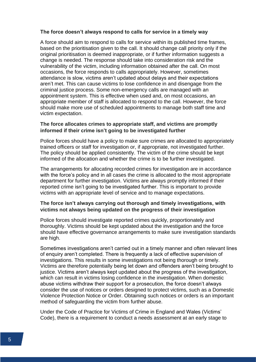#### **The force doesn't always respond to calls for service in a timely way**

A force should aim to respond to calls for service within its published time frames, based on the prioritisation given to the call. It should change call priority only if the original prioritisation is deemed inappropriate, or if further information suggests a change is needed. The response should take into consideration risk and the vulnerability of the victim, including information obtained after the call. On most occasions, the force responds to calls appropriately. However, sometimes attendance is slow, victims aren't updated about delays and their expectations aren't met. This can cause victims to lose confidence in and disengage from the criminal justice process. Some non-emergency calls are managed with an appointment system. This is effective when used and, on most occasions, an appropriate member of staff is allocated to respond to the call. However, the force should make more use of scheduled appointments to manage both staff time and victim expectation.

#### **The force allocates crimes to appropriate staff, and victims are promptly informed if their crime isn't going to be investigated further**

Police forces should have a policy to make sure crimes are allocated to appropriately trained officers or staff for investigation or, if appropriate, not investigated further. The policy should be applied consistently. The victim of the crime should be kept informed of the allocation and whether the crime is to be further investigated.

The arrangements for allocating recorded crimes for investigation are in accordance with the force's policy and in all cases the crime is allocated to the most appropriate department for further investigation. Victims are always promptly informed if their reported crime isn't going to be investigated further. This is important to provide victims with an appropriate level of service and to manage expectations.

#### **The force isn't always carrying out thorough and timely investigations, with victims not always being updated on the progress of their investigation**

Police forces should investigate reported crimes quickly, proportionately and thoroughly. Victims should be kept updated about the investigation and the force should have effective governance arrangements to make sure investigation standards are high.

Sometimes investigations aren't carried out in a timely manner and often relevant lines of enquiry aren't completed. There is frequently a lack of effective supervision of investigations. This results in some investigations not being thorough or timely. Victims are therefore potentially being let down and offenders aren't being brought to justice. Victims aren't always kept updated about the progress of the investigation, which can result in victims losing confidence in the investigation. When domestic abuse victims withdraw their support for a prosecution, the force doesn't always consider the use of notices or orders designed to protect victims, such as a Domestic Violence Protection Notice or Order. Obtaining such notices or orders is an important method of safeguarding the victim from further abuse.

Under the Code of Practice for Victims of Crime in England and Wales (Victims' Code), there is a requirement to conduct a needs assessment at an early stage to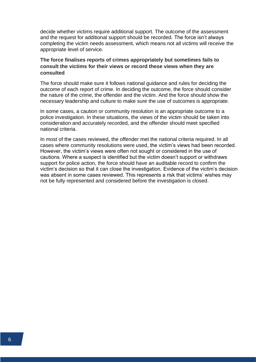decide whether victims require additional support. The outcome of the assessment and the request for additional support should be recorded. The force isn't always completing the victim needs assessment, which means not all victims will receive the appropriate level of service.

#### **The force finalises reports of crimes appropriately but sometimes fails to consult the victims for their views or record these views when they are consulted**

The force should make sure it follows national guidance and rules for deciding the outcome of each report of crime. In deciding the outcome, the force should consider the nature of the crime, the offender and the victim. And the force should show the necessary leadership and culture to make sure the use of outcomes is appropriate.

In some cases, a caution or community resolution is an appropriate outcome to a police investigation. In these situations, the views of the victim should be taken into consideration and accurately recorded, and the offender should meet specified national criteria.

In most of the cases reviewed, the offender met the national criteria required. In all cases where community resolutions were used, the victim's views had been recorded. However, the victim's views were often not sought or considered in the use of cautions. Where a suspect is identified but the victim doesn't support or withdraws support for police action, the force should have an auditable record to confirm the victim's decision so that it can close the investigation. Evidence of the victim's decision was absent in some cases reviewed. This represents a risk that victims' wishes may not be fully represented and considered before the investigation is closed.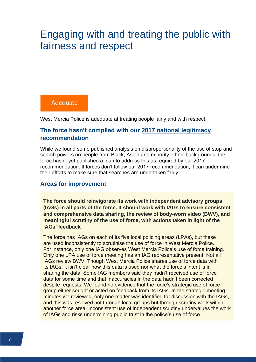# <span id="page-9-0"></span>Engaging with and treating the public with fairness and respect

# Adequate

West Mercia Police is adequate at treating people fairly and with respect.

## **The force hasn't complied with our [2017 national legitimacy](https://www.justiceinspectorates.gov.uk/hmicfrs/publications/peel-police-legitimacy-2017/)  [recommendation](https://www.justiceinspectorates.gov.uk/hmicfrs/publications/peel-police-legitimacy-2017/)**

While we found some published analysis on disproportionality of the use of stop and search powers on people from Black, Asian and minority ethnic backgrounds, the force hasn't yet published a plan to address this as required by our 2017 recommendation. If forces don't follow our 2017 recommendation, it can undermine their efforts to make sure that searches are undertaken fairly.

### <span id="page-9-1"></span>**Areas for improvement**

**The force should reinvigorate its work with independent advisory groups (IAGs) in all parts of the force. It should work with IAGs to ensure consistent and comprehensive data sharing, the review of body-worn video (BWV), and meaningful scrutiny of the use of force, with actions taken in light of the IAGs' feedback**

The force has IAGs on each of its five local policing areas (LPAs), but these are used inconsistently to scrutinise the use of force in West Mercia Police. For instance, only one IAG observes West Mercia Police's use of force training. Only one LPA use of force meeting has an IAG representative present. Not all IAGs review BWV. Though West Mercia Police shares use of force data with its IAGs, it isn't clear how this data is used nor what the force's intent is in sharing the data. Some IAG members said they hadn't received use of force data for some time and that inaccuracies in the data hadn't been corrected despite requests. We found no evidence that the force's strategic use of force group either sought or acted on feedback from its IAGs. In the strategic meeting minutes we reviewed, only one matter was identified for discussion with the IAGs, and this was resolved not through local groups but through scrutiny work within another force area. Inconsistent use of independent scrutiny undervalues the work of IAGs and risks undermining public trust in the police's use of force.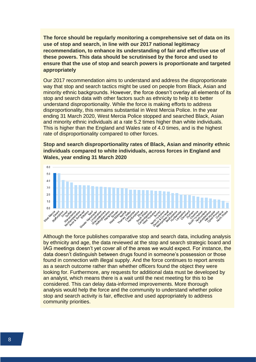**The force should be regularly monitoring a comprehensive set of data on its use of stop and search, in line with our 2017 national legitimacy recommendation, to enhance its understanding of fair and effective use of these powers. This data should be scrutinised by the force and used to ensure that the use of stop and search powers is proportionate and targeted appropriately**

Our 2017 recommendation aims to understand and address the disproportionate way that stop and search tactics might be used on people from Black, Asian and minority ethnic backgrounds. However, the force doesn't overlay all elements of its stop and search data with other factors such as ethnicity to help it to better understand disproportionality. While the force is making efforts to address disproportionality, this remains substantial in West Mercia Police. In the year ending 31 March 2020, West Mercia Police stopped and searched Black, Asian and minority ethnic individuals at a rate 5.2 times higher than white individuals. This is higher than the England and Wales rate of 4.0 times, and is the highest rate of disproportionality compared to other forces.

**Stop and search disproportionality rates of Black, Asian and minority ethnic individuals compared to white individuals, across forces in England and Wales, year ending 31 March 2020**



Although the force publishes comparative stop and search data, including analysis by ethnicity and age, the data reviewed at the stop and search strategic board and IAG meetings doesn't yet cover all of the areas we would expect. For instance, the data doesn't distinguish between drugs found in someone's possession or those found in connection with illegal supply. And the force continues to report arrests as a search outcome rather than whether officers found the object they were looking for. Furthermore, any requests for additional data must be developed by an analyst, which means there is a wait until the next meeting for this to be considered. This can delay data-informed improvements. More thorough analysis would help the force and the community to understand whether police stop and search activity is fair, effective and used appropriately to address community priorities.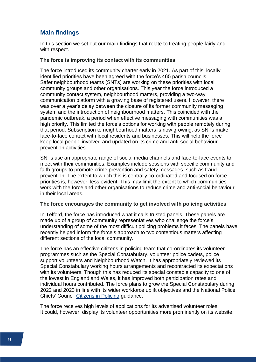# <span id="page-11-0"></span>**Main findings**

In this section we set out our main findings that relate to treating people fairly and with respect.

#### **The force is improving its contact with its communities**

The force introduced its community charter early in 2021. As part of this, locally identified priorities have been agreed with the force's 465 parish councils. Safer neighbourhood teams (SNTs) are working on these priorities with local community groups and other organisations. This year the force introduced a community contact system, neighbourhood matters, providing a two-way communication platform with a growing base of registered users. However, there was over a year's delay between the closure of its former community messaging system and the introduction of neighbourhood matters. This coincided with the pandemic outbreak, a period when effective messaging with communities was a high priority. This limited the force's options for working with people remotely during that period. Subscription to neighbourhood matters is now growing, as SNTs make face-to-face contact with local residents and businesses. This will help the force keep local people involved and updated on its crime and anti-social behaviour prevention activities.

SNTs use an appropriate range of social media channels and face-to-face events to meet with their communities. Examples include sessions with specific community and faith groups to promote crime prevention and safety messages, such as fraud prevention. The extent to which this is centrally co-ordinated and focused on force priorities is, however, less evident. This may limit the extent to which communities work with the force and other organisations to reduce crime and anti-social behaviour in their local areas.

#### **The force encourages the community to get involved with policing activities**

In Telford, the force has introduced what it calls trusted panels. These panels are made up of a group of community representatives who challenge the force's understanding of some of the most difficult policing problems it faces. The panels have recently helped inform the force's approach to two contentious matters affecting different sections of the local community.

The force has an effective citizens in policing team that co-ordinates its volunteer programmes such as the Special Constabulary, volunteer police cadets, police support volunteers and Neighbourhood Watch. It has appropriately reviewed its Special Constabulary working hours arrangements and recontracted its expectations with its volunteers. Though this has reduced its special constable capacity to one of the lowest in England and Wales, it has improved both participation rates and individual hours contributed. The force plans to grow the Special Constabulary during 2022 and 2023 in line with its wider workforce uplift objectives and the National Police Chiefs' Council [Citizens in Policing](https://www.citizensinpolicing.net/) guidance.

The force receives high levels of applications for its advertised volunteer roles. It could, however, display its volunteer opportunities more prominently on its website.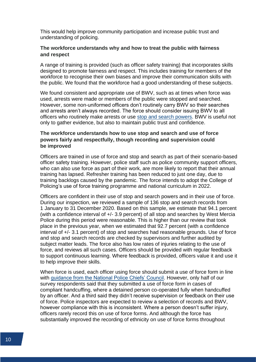This would help improve community participation and increase public trust and understanding of policing.

#### **The workforce understands why and how to treat the public with fairness and respect**

A range of training is provided (such as officer safety training) that incorporates skills designed to promote fairness and respect. This includes training for members of the workforce to recognise their own biases and improve their communication skills with the public. We found that the workforce had a good understanding of these subjects.

We found consistent and appropriate use of BWV, such as at times when force was used, arrests were made or members of the public were stopped and searched. However, some non-uniformed officers don't routinely carry BWV so their searches and arrests aren't always recorded. The force should consider issuing BWV to all officers who routinely make arrests or use stop and [search powers.](https://www.justiceinspectorates.gov.uk/hmicfrs/glossary/stop-and-search-powers/) BWV is useful not only to gather evidence, but also to maintain public trust and confidence.

#### **The workforce understands how to use stop and search and use of force powers fairly and respectfully, though recording and supervision could be improved**

Officers are trained in use of force and stop and search as part of their scenario-based officer safety training. However, police staff such as police community support officers, who can also use force as part of their work, are more likely to report that their annual training has lapsed. Refresher training has been reduced to just one day, due to training backlogs caused by the pandemic. The force intends to adopt the College of Policing's use of force training programme and national curriculum in 2022.

Officers are confident in their use of stop and search powers and in their use of force. During our inspection, we reviewed a sample of 136 stop and search records from 1 January to 31 December 2020. Based on this sample, we estimate that 94.1 percent (with a confidence interval of +/- 3.9 percent) of all stop and searches by West Mercia Police during this period were reasonable. This is higher than our review that took place in the previous year, when we estimated that 92.7 percent (with a confidence interval of +/- 3.1 percent) of stop and searches had reasonable grounds. Use of force and stop and search records are checked by supervisors and further audited by subject matter leads. The force also has low rates of injuries relating to the use of force, and reviews all such cases. Officers should be provided with regular feedback to support continuous learning. Where feedback is provided, officers value it and use it to help improve their skills.

When force is used, each officer using force should submit a use of force form in line with [guidance from the National Police Chiefs' Council.](https://www.npcc.police.uk/documents/Operations/Guidance%20on%20Use%20of%20Force%20Data%20V4Mar18.pdf#:~:text=Each%20member%20of%20staff%20is%20required%20to%20record,for%20each%20person%20on%20whom%20force%20is%20used.) However, only half of our survey respondents said that they submitted a use of force form in cases of compliant handcuffing, where a detained person co-operated fully when handcuffed by an officer. And a third said they didn't receive supervision or feedback on their use of force. Police inspectors are expected to review a selection of records and BWV, however compliance with this is inconsistent. Where a person doesn't suffer injury, officers rarely record this on use of force forms. And although the force has substantially improved the recording of ethnicity on use of force forms throughout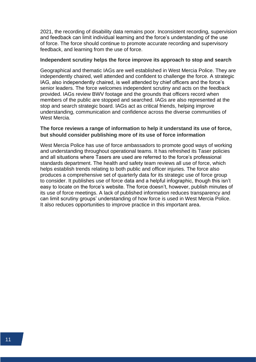2021, the recording of disability data remains poor. Inconsistent recording, supervision and feedback can limit individual learning and the force's understanding of the use of force. The force should continue to promote accurate recording and supervisory feedback, and learning from the use of force.

#### **Independent scrutiny helps the force improve its approach to stop and search**

Geographical and thematic IAGs are well established in West Mercia Police. They are independently chaired, well attended and confident to challenge the force. A strategic IAG, also independently chaired, is well attended by chief officers and the force's senior leaders. The force welcomes independent scrutiny and acts on the feedback provided. IAGs review BWV footage and the grounds that officers record when members of the public are stopped and searched. IAGs are also represented at the stop and search strategic board. IAGs act as critical friends, helping improve understanding, communication and confidence across the diverse communities of West Mercia.

#### **The force reviews a range of information to help it understand its use of force, but should consider publishing more of its use of force information**

West Mercia Police has use of force ambassadors to promote good ways of working and understanding throughout operational teams. It has refreshed its Taser policies and all situations where Tasers are used are referred to the force's professional standards department. The health and safety team reviews all use of force, which helps establish trends relating to both public and officer injuries. The force also produces a comprehensive set of quarterly data for its strategic use of force group to consider. It publishes use of force data and a helpful infographic, though this isn't easy to locate on the force's website. The force doesn't, however, publish minutes of its use of force meetings. A lack of published information reduces transparency and can limit scrutiny groups' understanding of how force is used in West Mercia Police. It also reduces opportunities to improve practice in this important area.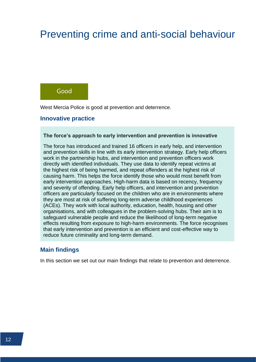# <span id="page-14-0"></span>Preventing crime and anti-social behaviour

# Good

West Mercia Police is good at prevention and deterrence.

#### <span id="page-14-1"></span>**Innovative practice**

#### **The force's approach to early intervention and prevention is innovative**

The force has introduced and trained 16 officers in early help, and intervention and prevention skills in line with its early intervention strategy. Early help officers work in the partnership hubs, and intervention and prevention officers work directly with identified individuals. They use data to identify repeat victims at the highest risk of being harmed, and repeat offenders at the highest risk of causing harm. This helps the force identify those who would most benefit from early intervention approaches. High-harm data is based on recency, frequency and severity of offending. Early help officers, and intervention and prevention officers are particularly focused on the children who are in environments where they are most at risk of suffering long-term adverse childhood experiences (ACEs). They work with local authority, education, health, housing and other organisations, and with colleagues in the problem-solving hubs. Their aim is to safeguard vulnerable people and reduce the likelihood of long-term negative effects resulting from exposure to high-harm environments. The force recognises that early intervention and prevention is an efficient and cost-effective way to reduce future criminality and long-term demand.

#### <span id="page-14-2"></span>**Main findings**

In this section we set out our main findings that relate to prevention and deterrence.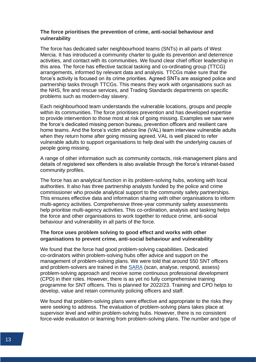#### **The force prioritises the prevention of crime, anti-social behaviour and vulnerability**

The force has dedicated safer neighbourhood teams (SNTs) in all parts of West Mercia. It has introduced a community charter to guide its prevention and deterrence activities, and contact with its communities. We found clear chief officer leadership in this area. The force has effective tactical tasking and co-ordinating group (TTCG) arrangements, informed by relevant data and analysis. TTCGs make sure that the force's activity is focused on its crime priorities. Agreed SNTs are assigned police and partnership tasks through TTCGs. This means they work with organisations such as the NHS, fire and rescue services, and Trading Standards departments on specific problems such as modern-day slavery.

Each neighbourhood team understands the vulnerable locations, groups and people within its communities. The force prioritises prevention and has developed expertise to provide intervention to those most at risk of going missing. Examples we saw were the force's dedicated missing person bureau, prevention officers and resilient care home teams. And the force's victim advice line (VAL) team interview vulnerable adults when they return home after going missing agreed. VAL is well placed to refer vulnerable adults to support organisations to help deal with the underlying causes of people going missing.

A range of other information such as community contacts, risk-management plans and details of registered sex offenders is also available through the force's intranet-based community profiles.

The force has an analytical function in its problem-solving hubs, working with local authorities. It also has three partnership analysts funded by the police and crime commissioner who provide analytical support to the community safety partnerships. This ensures effective data and information sharing with other organisations to inform multi-agency activities. Comprehensive three-year community safety assessments help prioritise multi-agency activities. This co-ordination, analysis and tasking helps the force and other organisations to work together to reduce crime, anti-social behaviour and vulnerability in all parts of the force.

#### **The force uses problem solving to good effect and works with other organisations to prevent crime, anti-social behaviour and vulnerability**

We found that the force had good problem-solving capabilities. Dedicated co-ordinators within problem-solving hubs offer advice and support on the management of problem-solving plans. We were told that around 550 SNT officers and problem-solvers are trained in the [SARA](https://www.justiceinspectorates.gov.uk/hmicfrs/glossary/scanning-analysis-response-assessment/) (scan, analyse, respond, assess) problem-solving approach and receive some continuous professional development (CPD) in their roles. However, there is as yet no fully comprehensive training programme for SNT officers. This is planned for 2022/23. Training and CPD helps to develop, value and retain community policing officers and staff.

We found that problem-solving plans were effective and appropriate to the risks they were seeking to address. The evaluation of problem-solving plans takes place at supervisor level and within problem-solving hubs. However, there is no consistent force-wide evaluation or learning from problem-solving plans. The number and type of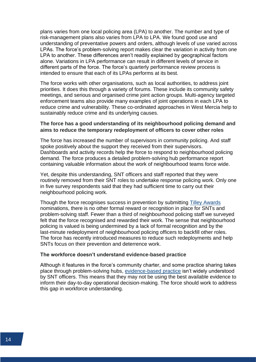plans varies from one local policing area (LPA) to another. The number and type of risk-management plans also varies from LPA to LPA. We found good use and understanding of preventative powers and orders, although levels of use varied across LPAs. The force's problem-solving report makes clear the variation in activity from one LPA to another. These differences aren't readily explained by geographical factors alone. Variations in LPA performance can result in different levels of service in different parts of the force. The force's quarterly performance review process is intended to ensure that each of its LPAs performs at its best.

The force works with other organisations, such as local authorities, to address joint priorities. It does this through a variety of forums. These include its community safety meetings, and serious and organised crime joint action groups. Multi-agency targeted enforcement teams also provide many examples of joint operations in each LPA to reduce crime and vulnerability. These co-ordinated approaches in West Mercia help to sustainably reduce crime and its underlying causes.

#### **The force has a good understanding of its neighbourhood policing demand and aims to reduce the temporary redeployment of officers to cover other roles**

The force has increased the number of supervisors in community policing. And staff spoke positively about the support they received from their supervisors. Dashboards and activity records help the force to respond to neighbourhood policing demand. The force produces a detailed problem-solving hub performance report containing valuable information about the work of neighbourhood teams force wide.

Yet, despite this understanding, SNT officers and staff reported that they were routinely removed from their SNT roles to undertake response policing work. Only one in five survey respondents said that they had sufficient time to carry out their neighbourhood policing work.

Though the force recognises success in prevention by submitting [Tilley Awards](https://www.problemsolvingconference.co.uk/awardsarea) nominations, there is no other formal reward or recognition in place for SNTs and problem-solving staff. Fewer than a third of neighbourhood policing staff we surveyed felt that the force recognised and rewarded their work. The sense that neighbourhood policing is valued is being undermined by a lack of formal recognition and by the last-minute redeployment of neighbourhood policing officers to backfill other roles. The force has recently introduced measures to reduce such redeployments and help SNTs focus on their prevention and deterrence work.

#### **The workforce doesn't understand evidence-based practice**

Although it features in the force's community charter, and some practice sharing takes place through problem-solving hubs, [evidence-based practice](https://whatworks.college.police.uk/About/Pages/What-is-EBP.aspx) isn't widely understood by SNT officers. This means that they may not be using the best available evidence to inform their day-to-day operational decision-making. The force should work to address this gap in workforce understanding.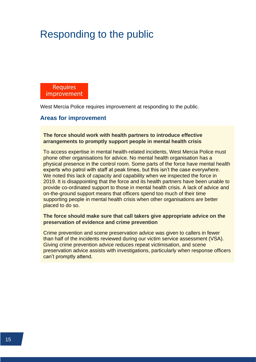# <span id="page-17-0"></span>Responding to the public

**Requires** improvement

West Mercia Police requires improvement at responding to the public.

#### <span id="page-17-1"></span>**Areas for improvement**

#### **The force should work with health partners to introduce effective arrangements to promptly support people in mental health crisis**

To access expertise in mental health-related incidents, West Mercia Police must phone other organisations for advice. No mental health organisation has a physical presence in the control room. Some parts of the force have mental health experts who patrol with staff at peak times, but this isn't the case everywhere. We noted this lack of capacity and capability when we inspected the force in 2019. It is disappointing that the force and its health partners have been unable to provide co-ordinated support to those in mental health crisis. A lack of advice and on-the-ground support means that officers spend too much of their time supporting people in mental health crisis when other organisations are better placed to do so.

#### **The force should make sure that call takers give appropriate advice on the preservation of evidence and crime prevention**

Crime prevention and scene preservation advice was given to callers in fewer than half of the incidents reviewed during our victim service assessment (VSA). Giving crime prevention advice reduces repeat victimisation, and scene preservation advice assists with investigations, particularly when response officers can't promptly attend.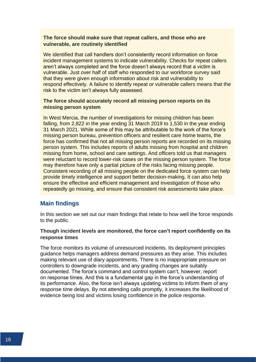#### **The force should make sure that repeat callers, and those who are vulnerable, are routinely identified**

We identified that call handlers don't consistently record information on force incident management systems to indicate vulnerability. Checks for repeat callers aren't always completed and the force doesn't always record that a victim is vulnerable. Just over half of staff who responded to our workforce survey said that they were given enough information about risk and vulnerability to respond effectively. A failure to identify repeat or vulnerable callers means that the risk to the victim isn't always fully assessed.

#### **The force should accurately record all missing person reports on its missing person system**

In West Mercia, the number of investigations for missing children has been falling, from 2,822 in the year ending 31 March 2019 to 1,530 in the year ending 31 March 2021. While some of this may be attributable to the work of the force's missing person bureau, prevention officers and resilient care home teams, the force has confirmed that not all missing person reports are recorded on its missing person system. This includes reports of adults missing from hospital and children missing from home, school and care settings. And officers told us that managers were reluctant to record lower-risk cases on the missing person system. The force may therefore have only a partial picture of the risks facing missing people. Consistent recording of all missing people on the dedicated force system can help provide timely intelligence and support better decision-making. It can also help ensure the effective and efficient management and investigation of those who repeatedly go missing, and ensure that consistent risk assessments take place.

### <span id="page-18-0"></span>**Main findings**

In this section we set out our main findings that relate to how well the force responds to the public.

#### **Though incident levels are monitored, the force can't report confidently on its response times**

The force monitors its volume of unresourced incidents. Its deployment principles guidance helps managers address demand pressures as they arise. This includes making relevant use of diary appointments. There is no inappropriate pressure on controllers to downgrade incidents, and any grading changes are suitably documented. The force's command and control system can't, however, report on response times. And this is a fundamental gap in the force's understanding of its performance. Also, the force isn't always updating victims to inform them of any response time delays. By not attending calls promptly, it increases the likelihood of evidence being lost and victims losing confidence in the police response.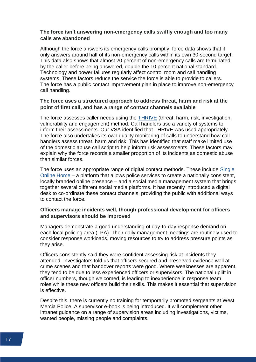#### **The force isn't answering non-emergency calls swiftly enough and too many calls are abandoned**

Although the force answers its emergency calls promptly, force data shows that it only answers around half of its non-emergency calls within its own 30-second target. This data also shows that almost 20 percent of non-emergency calls are terminated by the caller before being answered, double the 10 percent national standard. Technology and power failures regularly affect control room and call handling systems. These factors reduce the service the force is able to provide to callers. The force has a public contact improvement plan in place to improve non-emergency call handling.

#### **The force uses a structured approach to address threat, harm and risk at the point of first call, and has a range of contact channels available**

The force assesses caller needs using the [THRIVE](https://www.justiceinspectorates.gov.uk/hmicfrs/glossary/threat-harm-risk-investigation/) (threat, harm, risk, investigation, vulnerability and engagement) method. Call handlers use a variety of systems to inform their assessments. Our VSA identified that THRIVE was used appropriately. The force also undertakes its own quality monitoring of calls to understand how call handlers assess threat, harm and risk. This has identified that staff make limited use of the domestic abuse call script to help inform risk assessments. These factors may explain why the force records a smaller proportion of its incidents as domestic abuse than similar forces.

The force uses an appropriate range of digital contact methods. These include [Single](https://www.cds.co.uk/our-work/single-online-home)  [Online Home](https://www.cds.co.uk/our-work/single-online-home) – a platform that allows police services to create a nationally consistent, locally branded online presence – and a social media management system that brings together several different social media platforms. It has recently introduced a digital desk to co-ordinate these contact channels, providing the public with additional ways to contact the force.

#### **Officers manage incidents well, though professional development for officers and supervisors should be improved**

Managers demonstrate a good understanding of day-to-day response demand on each local policing area (LPA). Their daily management meetings are routinely used to consider response workloads, moving resources to try to address pressure points as they arise.

Officers consistently said they were confident assessing risk at incidents they attended. Investigators told us that officers secured and preserved evidence well at crime scenes and that handover reports were good. Where weaknesses are apparent, they tend to be due to less experienced officers or supervisors. The national uplift in officer numbers, though welcomed, is leading to inexperience in response team roles while these new officers build their skills. This makes it essential that supervision is effective.

Despite this, there is currently no training for temporarily promoted sergeants at West Mercia Police. A supervisor e-book is being introduced. It will complement other intranet guidance on a range of supervision areas including investigations, victims, wanted people, missing people and complaints.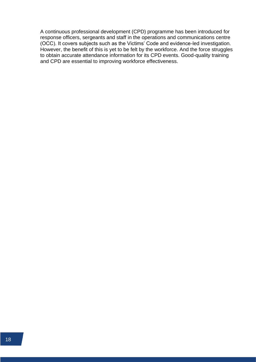A continuous professional development (CPD) programme has been introduced for response officers, sergeants and staff in the operations and communications centre (OCC). It covers subjects such as the Victims' Code and evidence-led investigation. However, the benefit of this is yet to be felt by the workforce. And the force struggles to obtain accurate attendance information for its CPD events. Good-quality training and CPD are essential to improving workforce effectiveness.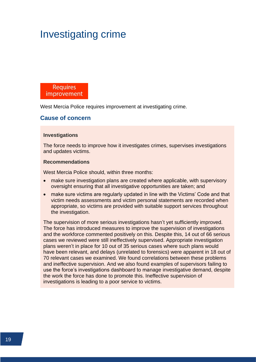# <span id="page-21-0"></span>Investigating crime

**Requires** improvement

West Mercia Police requires improvement at investigating crime.

#### <span id="page-21-1"></span>**Cause of concern**

#### **Investigations**

The force needs to improve how it investigates crimes, supervises investigations and updates victims.

#### **Recommendations**

West Mercia Police should, within three months:

- make sure investigation plans are created where applicable, with supervisory oversight ensuring that all investigative opportunities are taken; and
- make sure victims are regularly updated in line with the Victims' Code and that victim needs assessments and victim personal statements are recorded when appropriate, so victims are provided with suitable support services throughout the investigation.

The supervision of more serious investigations hasn't yet sufficiently improved. The force has introduced measures to improve the supervision of investigations and the workforce commented positively on this. Despite this, 14 out of 66 serious cases we reviewed were still ineffectively supervised. Appropriate investigation plans weren't in place for 10 out of 35 serious cases where such plans would have been relevant, and delays (unrelated to forensics) were apparent in 18 out of 70 relevant cases we examined. We found correlations between these problems and ineffective supervision. And we also found examples of supervisors failing to use the force's investigations dashboard to manage investigative demand, despite the work the force has done to promote this. Ineffective supervision of investigations is leading to a poor service to victims.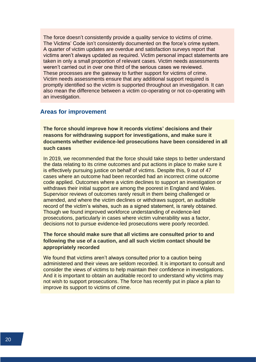The force doesn't consistently provide a quality service to victims of crime. The Victims' Code isn't consistently documented on the force's crime system. A quarter of victim updates are overdue and satisfaction surveys report that victims aren't always updated as required. Victim personal impact statements are taken in only a small proportion of relevant cases. Victim needs assessments weren't carried out in over one third of the serious cases we reviewed. These processes are the gateway to further support for victims of crime. Victim needs assessments ensure that any additional support required is promptly identified so the victim is supported throughout an investigation. It can also mean the difference between a victim co-operating or not co-operating with an investigation.

#### <span id="page-22-0"></span>**Areas for improvement**

**The force should improve how it records victims' decisions and their reasons for withdrawing support for investigations, and make sure it documents whether evidence-led prosecutions have been considered in all such cases**

In 2019, we recommended that the force should take steps to better understand the data relating to its crime outcomes and put actions in place to make sure it is effectively pursuing justice on behalf of victims. Despite this, 9 out of 47 cases where an outcome had been recorded had an incorrect crime outcome code applied. Outcomes where a victim declines to support an investigation or withdraws their initial support are among the poorest in England and Wales. Supervisor reviews of outcomes rarely result in them being challenged or amended, and where the victim declines or withdraws support, an auditable record of the victim's wishes, such as a signed statement, is rarely obtained. Though we found improved workforce understanding of evidence-led prosecutions, particularly in cases where victim vulnerability was a factor, decisions not to pursue evidence-led prosecutions were poorly recorded.

#### **The force should make sure that all victims are consulted prior to and following the use of a caution, and all such victim contact should be appropriately recorded**

We found that victims aren't always consulted prior to a caution being administered and their views are seldom recorded. It is important to consult and consider the views of victims to help maintain their confidence in investigations. And it is important to obtain an auditable record to understand why victims may not wish to support prosecutions. The force has recently put in place a plan to improve its support to victims of crime.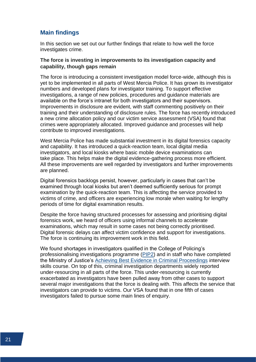### <span id="page-23-0"></span>**Main findings**

In this section we set out our further findings that relate to how well the force investigates crime.

#### **The force is investing in improvements to its investigation capacity and capability, though gaps remain**

The force is introducing a consistent investigation model force-wide, although this is yet to be implemented in all parts of West Mercia Police. It has grown its investigator numbers and developed plans for investigator training. To support effective investigations, a range of new policies, procedures and guidance materials are available on the force's intranet for both investigators and their supervisors. Improvements in disclosure are evident, with staff commenting positively on their training and their understanding of disclosure rules. The force has recently introduced a new crime allocation policy and our victim service assessment (VSA) found that crimes were appropriately allocated. Improved guidance and processes will help contribute to improved investigations.

West Mercia Police has made substantial investment in its digital forensics capacity and capability. It has introduced a quick-reaction team, local digital media investigators, and local kiosks where basic mobile device examinations can take place. This helps make the digital evidence-gathering process more efficient. All these improvements are well regarded by investigators and further improvements are planned.

Digital forensics backlogs persist, however, particularly in cases that can't be examined through local kiosks but aren't deemed sufficiently serious for prompt examination by the quick-reaction team. This is affecting the service provided to victims of crime, and officers are experiencing low morale when waiting for lengthy periods of time for digital examination results.

Despite the force having structured processes for assessing and prioritising digital forensics work, we heard of officers using informal channels to accelerate examinations, which may result in some cases not being correctly prioritised. Digital forensic delays can affect victim confidence and support for investigations. The force is continuing its improvement work in this field.

We found shortages in investigators qualified in the College of Policing's professionalising investigations programme [\(PIP2\)](https://www.justiceinspectorates.gov.uk/hmicfrs/glossary/professionalising-investigations-programme/) and in staff who have completed the Ministry of Justice's [Achieving Best Evidence in Criminal Proceedings](https://www.gov.uk/government/publications/achieving-best-evidence-in-criminal-proceedings) interview skills course. On top of this, criminal investigation departments widely reported under-resourcing in all parts of the force. This under-resourcing is currently exacerbated as investigators have been pulled away from other cases to support several major investigations that the force is dealing with. This affects the service that investigators can provide to victims. Our VSA found that in one fifth of cases investigators failed to pursue some main lines of enquiry.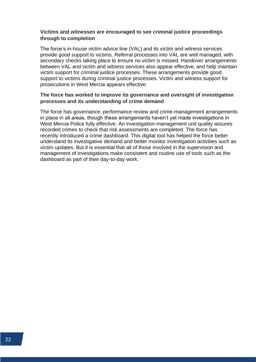#### **Victims and witnesses are encouraged to see criminal justice proceedings through to completion**

The force's in-house victim advice line (VAL) and its victim and witness services provide good support to victims. Referral processes into VAL are well managed, with secondary checks taking place to ensure no victim is missed. Handover arrangements between VAL and victim and witness services also appear effective, and help maintain victim support for criminal justice processes. These arrangements provide good support to victims during criminal justice processes. Victim and witness support for prosecutions in West Mercia appears effective.

#### **The force has worked to improve its governance and oversight of investigation processes and its understanding of crime demand**

The force has governance, performance review and crime-management arrangements in place in all areas, though these arrangements haven't yet made investigations in West Mercia Police fully effective. An investigation-management unit quality assures recorded crimes to check that risk assessments are completed. The force has recently introduced a crime dashboard. This digital tool has helped the force better understand its investigative demand and better monitor investigation activities such as victim updates. But it is essential that all of those involved in the supervision and management of investigations make consistent and routine use of tools such as the dashboard as part of their day-to-day work.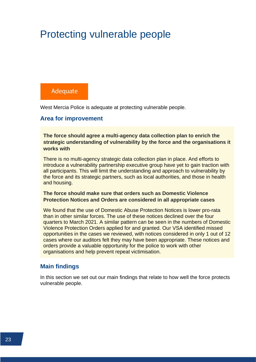# <span id="page-25-0"></span>Protecting vulnerable people

# Adequate

West Mercia Police is adequate at protecting vulnerable people.

### <span id="page-25-1"></span>**Area for improvement**

**The force should agree a multi-agency data collection plan to enrich the strategic understanding of vulnerability by the force and the organisations it works with**

There is no multi-agency strategic data collection plan in place. And efforts to introduce a vulnerability partnership executive group have yet to gain traction with all participants. This will limit the understanding and approach to vulnerability by the force and its strategic partners, such as local authorities, and those in health and housing.

#### **The force should make sure that orders such as Domestic Violence Protection Notices and Orders are considered in all appropriate cases**

We found that the use of Domestic Abuse Protection Notices is lower pro-rata than in other similar forces. The use of these notices declined over the four quarters to March 2021. A similar pattern can be seen in the numbers of Domestic Violence Protection Orders applied for and granted. Our VSA identified missed opportunities in the cases we reviewed, with notices considered in only 1 out of 12 cases where our auditors felt they may have been appropriate. These notices and orders provide a valuable opportunity for the police to work with other organisations and help prevent repeat victimisation.

### <span id="page-25-2"></span>**Main findings**

In this section we set out our main findings that relate to how well the force protects vulnerable people.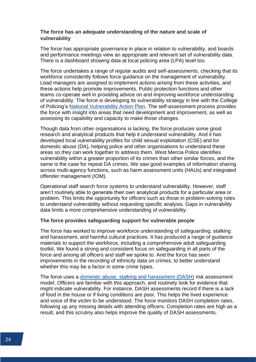#### **The force has an adequate understanding of the nature and scale of vulnerability**

The force has appropriate governance in place in relation to vulnerability, and boards and performance meetings view an appropriate and relevant set of vulnerability data. There is a dashboard showing data at local policing area (LPA) level too.

The force undertakes a range of regular audits and self-assessments, checking that its workforce consistently follows force guidance on the management of vulnerability. Lead managers are assigned to implement actions arising from these activities, and these actions help promote improvements. Public protection functions and other teams co-operate well in providing advice on and improving workforce understanding of vulnerability. The force is developing its vulnerability strategy in line with the College of Policing's [National Vulnerability Action Plan.](https://whatworks.college.police.uk/Research/Documents/VKPP_NVAP_FAQ.pdf) The self-assessment process provides the force with insight into areas that need development and improvement, as well as assessing its capability and capacity to make those changes.

Though data from other organisations is lacking, the force produces some good research and analytical products that help it understand vulnerability. And it has developed local vulnerability profiles for child sexual exploitation (CSE) and for domestic abuse (DA), helping police and other organisations to understand these areas so they can work together to address them. West Mercia Police identifies vulnerability within a greater proportion of its crimes than other similar forces, and the same is the case for repeat DA crimes. We saw good examples of information sharing across multi-agency functions, such as harm assessment units (HAUs) and integrated offender management (IOM).

Operational staff search force systems to understand vulnerability. However, staff aren't routinely able to generate their own analytical products for a particular area or problem. This limits the opportunity for officers such as those in problem-solving roles to understand vulnerability without requesting specific analysis. Gaps in vulnerability data limits a more comprehensive understanding of vulnerability.

#### **The force provides safeguarding support for vulnerable people**

The force has worked to improve workforce understanding of safeguarding, stalking and harassment, and harmful cultural practices. It has produced a range of guidance materials to support the workforce, including a comprehensive adult safeguarding toolkit. We found a strong and consistent focus on safeguarding in all parts of the force and among all officers and staff we spoke to. And the force has seen improvements in the recording of ethnicity data on crimes, to better understand whether this may be a factor in some crime types.

The force uses a [domestic abuse, stalking and harassment \(DASH\)](https://www.justiceinspectorates.gov.uk/hmicfrs/glossary/dash/) risk assessment model. Officers are familiar with this approach, and routinely look for evidence that might indicate vulnerability. For instance, DASH assessments record if there is a lack of food in the house or if living conditions are poor. This helps the lived experience and voice of the victim to be understood. The force monitors DASH completion rates, following up any missing details with attending officers. Completion rates are high as a result, and this scrutiny also helps improve the quality of DASH assessments.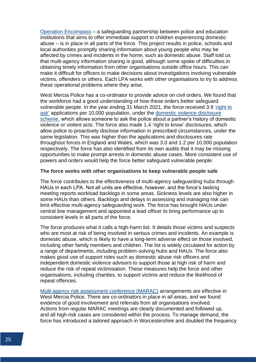[Operation Encompass](https://www.operationencompass.org/) – a safeguarding partnership between police and education institutions that aims to offer immediate support to children experiencing domestic abuse – is in place in all parts of the force. This project results in police, schools and local authorities promptly sharing information about young people who may be affected by crimes and incidents in the home, such as domestic abuse. Staff told us that multi-agency information sharing is good, although some spoke of difficulties in obtaining timely information from other organisations outside office hours. This can make it difficult for officers to make decisions about investigations involving vulnerable victims, offenders or others. Each LPA works with other organisations to try to address these operational problems where they arise.

West Mercia Police has a co-ordinator to provide advice on civil orders. We found that the workforce had a good understanding of how these orders better safeguard vulnerable people. In the year ending 31 March 2021, the force received 3.9 ['right to](https://www.gov.uk/government/news/clares-law-to-become-a-national-scheme)  [ask'](https://www.gov.uk/government/news/clares-law-to-become-a-national-scheme) applications per 10,000 population, under the [domestic violence disclosure](https://www.justiceinspectorates.gov.uk/hmicfrs/glossary/domestic-violence-disclosure-scheme/)  [scheme,](https://www.justiceinspectorates.gov.uk/hmicfrs/glossary/domestic-violence-disclosure-scheme/) which allows someone to ask the police about a partner's history of domestic violence or violent acts. The force also made 1.4 'right to know' disclosures, which allow police to proactively disclose information in prescribed circumstances, under the same legislation. This was higher than the applications and disclosures rate throughout forces in England and Wales, which was 3.0 and 1.2 per 10,000 population respectively. The force has also identified from its own audits that it may be missing opportunities to make prompt arrests in domestic abuse cases. More consistent use of powers and orders would help the force better safeguard vulnerable people.

#### **The force works with other organisations to keep vulnerable people safe**

The force contributes to the effectiveness of multi-agency safeguarding hubs through HAUs in each LPA. Not all units are effective, however, and the force's tasking meeting reports workload backlogs in some areas. Sickness levels are also higher in some HAUs than others. Backlogs and delays in assessing and managing risk can limit effective multi-agency safeguarding work. The force has brought HAUs under central line management and appointed a lead officer to bring performance up to consistent levels in all parts of the force.

The force produces what it calls a high-harm list. It details those victims and suspects who are most at risk of being involved in serious crimes and incidents. An example is domestic abuse, which is likely to have a long-term adverse effect on those involved, including other family members and children. The list is widely circulated for action by a range of departments, including problem-solving hubs and HAUs. The force also makes good use of support roles such as domestic abuse risk officers and independent domestic violence advisors to support those at high risk of harm and reduce the risk of repeat victimisation. These measures help the force and other organisations, including charities, to support victims and reduce the likelihood of repeat offences.

[Multi-agency risk assessment conference \(MARAC\)](https://www.justiceinspectorates.gov.uk/hmicfrs/glossary/multi-agency-risk-assessment-conference/) arrangements are effective in West Mercia Police. There are co-ordinators in place in all areas, and we found evidence of good involvement and referrals from all organisations involved. Actions from regular MARAC meetings are clearly documented and followed up, and all high-risk cases are considered within the process. To manage demand, the force has introduced a tailored approach in Worcestershire and doubled the frequency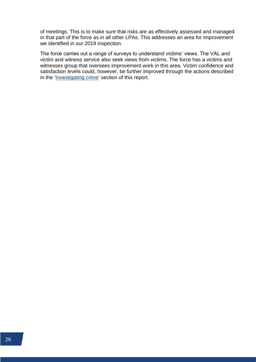of meetings. This is to make sure that risks are as effectively assessed and managed in that part of the force as in all other LPAs. This addresses an area for improvement we identified in our 2019 inspection.

The force carries out a range of surveys to understand victims' views. The VAL and victim and witness service also seek views from victims. The force has a victims and witnesses group that oversees improvement work in this area. Victim confidence and satisfaction levels could, however, be further improved through the actions described in the ['Investigating crime'](#page-21-0) section of this report.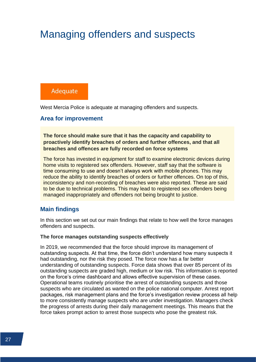# <span id="page-29-0"></span>Managing offenders and suspects

# Adequate

West Mercia Police is adequate at managing offenders and suspects.

#### <span id="page-29-1"></span>**Area for improvement**

**The force should make sure that it has the capacity and capability to proactively identify breaches of orders and further offences, and that all breaches and offences are fully recorded on force systems**

The force has invested in equipment for staff to examine electronic devices during home visits to registered sex offenders. However, staff say that the software is time consuming to use and doesn't always work with mobile phones. This may reduce the ability to identify breaches of orders or further offences. On top of this, inconsistency and non-recording of breaches were also reported. These are said to be due to technical problems. This may lead to registered sex offenders being managed inappropriately and offenders not being brought to justice.

### <span id="page-29-2"></span>**Main findings**

In this section we set out our main findings that relate to how well the force manages offenders and suspects.

#### **The force manages outstanding suspects effectively**

In 2019, we recommended that the force should improve its management of outstanding suspects. At that time, the force didn't understand how many suspects it had outstanding, nor the risk they posed. The force now has a far better understanding of outstanding suspects. Force data shows that over 85 percent of its outstanding suspects are graded high, medium or low risk. This information is reported on the force's crime dashboard and allows effective supervision of these cases. Operational teams routinely prioritise the arrest of outstanding suspects and those suspects who are circulated as wanted on the police national computer. Arrest report packages, risk management plans and the force's investigation review process all help to more consistently manage suspects who are under investigation. Managers check the progress of arrests during their daily management meetings. This means that the force takes prompt action to arrest those suspects who pose the greatest risk.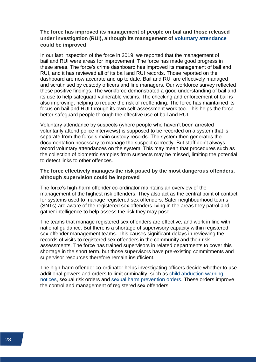#### **The force has improved its management of people on bail and those released under investigation (RUI), although its management of [voluntary attendance](https://www.gov.uk/government/publications/voluntary-police-interview-your-rights) could be improved**

In our last inspection of the force in 2019, we reported that the management of bail and RUI were areas for improvement. The force has made good progress in these areas. The force's crime dashboard has improved its management of bail and RUI, and it has reviewed all of its bail and RUI records. Those reported on the dashboard are now accurate and up to date. Bail and RUI are effectively managed and scrutinised by custody officers and line managers. Our workforce survey reflected these positive findings. The workforce demonstrated a good understanding of bail and its use to help safeguard vulnerable victims. The checking and enforcement of bail is also improving, helping to reduce the risk of reoffending. The force has maintained its focus on bail and RUI through its own self-assessment work too. This helps the force better safeguard people through the effective use of bail and RUI.

Voluntary attendance by suspects (where people who haven't been arrested voluntarily attend police interviews) is supposed to be recorded on a system that is separate from the force's main custody records. The system then generates the documentation necessary to manage the suspect correctly. But staff don't always record voluntary attendances on the system. This may mean that procedures such as the collection of biometric samples from suspects may be missed, limiting the potential to detect links to other offences.

#### **The force effectively manages the risk posed by the most dangerous offenders, although supervision could be improved**

The force's high-harm offender co-ordinator maintains an overview of the management of the highest risk offenders. They also act as the central point of contact for systems used to manage registered sex offenders. Safer neighbourhood teams (SNTs) are aware of the registered sex offenders living in the areas they patrol and gather intelligence to help assess the risk they may pose.

The teams that manage registered sex offenders are effective, and work in line with national guidance. But there is a shortage of supervisory capacity within registered sex offender management teams. This causes significant delays in reviewing the records of visits to registered sex offenders in the community and their risk assessments. The force has trained supervisors in related departments to cover this shortage in the short term, but those supervisors have pre-existing commitments and supervisor resources therefore remain insufficient.

The high-harm offender co-ordinator helps investigating officers decide whether to use additional powers and orders to limit criminality, such as [child abduction warning](https://www.justiceinspectorates.gov.uk/hmicfrs/glossary/child-abduction-warning-notice/)  [notices,](https://www.justiceinspectorates.gov.uk/hmicfrs/glossary/child-abduction-warning-notice/) sexual risk orders and [sexual harm prevention orders.](https://www.justiceinspectorates.gov.uk/hmicfrs/glossary/sexual-harm-prevention-order/) These orders improve the control and management of registered sex offenders.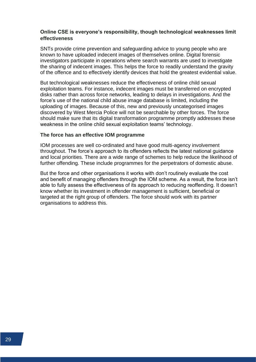#### **Online CSE is everyone's responsibility, though technological weaknesses limit effectiveness**

SNTs provide crime prevention and safeguarding advice to young people who are known to have uploaded indecent images of themselves online. Digital forensic investigators participate in operations where search warrants are used to investigate the sharing of indecent images. This helps the force to readily understand the gravity of the offence and to effectively identify devices that hold the greatest evidential value.

But technological weaknesses reduce the effectiveness of online child sexual exploitation teams. For instance, indecent images must be transferred on encrypted disks rather than across force networks, leading to delays in investigations. And the force's use of the national child abuse image database is limited, including the uploading of images. Because of this, new and previously uncategorised images discovered by West Mercia Police will not be searchable by other forces. The force should make sure that its digital transformation programme promptly addresses these weakness in the online child sexual exploitation teams' technology.

#### **The force has an effective IOM programme**

IOM processes are well co-ordinated and have good multi-agency involvement throughout. The force's approach to its offenders reflects the latest national guidance and local priorities. There are a wide range of schemes to help reduce the likelihood of further offending. These include programmes for the perpetrators of domestic abuse.

But the force and other organisations it works with don't routinely evaluate the cost and benefit of managing offenders through the IOM scheme. As a result, the force isn't able to fully assess the effectiveness of its approach to reducing reoffending. It doesn't know whether its investment in offender management is sufficient, beneficial or targeted at the right group of offenders. The force should work with its partner organisations to address this.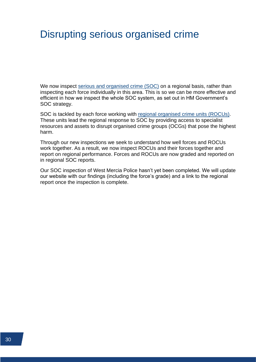# <span id="page-32-0"></span>Disrupting serious organised crime

We now inspect [serious and organised crime \(SOC\)](https://www.justiceinspectorates.gov.uk/hmicfrs/glossary/serious-organised-crime/) on a regional basis, rather than inspecting each force individually in this area. This is so we can be more effective and efficient in how we inspect the whole SOC system, as set out in HM Government's SOC strategy.

SOC is tackled by each force working with [regional organised crime units](https://www.justiceinspectorates.gov.uk/hmicfrs/glossary/regional-organised-crime-units/) (ROCUs). These units lead the regional response to SOC by providing access to specialist resources and assets to disrupt organised crime groups (OCGs) that pose the highest harm.

Through our new inspections we seek to understand how well forces and ROCUs work together. As a result, we now inspect ROCUs and their forces together and report on regional performance. Forces and ROCUs are now graded and reported on in regional SOC reports.

Our SOC inspection of West Mercia Police hasn't yet been completed. We will update our website with our findings (including the force's grade) and a link to the regional report once the inspection is complete.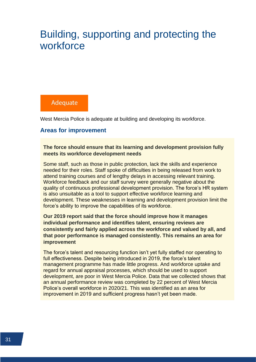# <span id="page-33-0"></span>Building, supporting and protecting the workforce

## Adequate

West Mercia Police is adequate at building and developing its workforce.

### <span id="page-33-1"></span>**Areas for improvement**

**The force should ensure that its learning and development provision fully meets its workforce development needs**

Some staff, such as those in public protection, lack the skills and experience needed for their roles. Staff spoke of difficulties in being released from work to attend training courses and of lengthy delays in accessing relevant training. Workforce feedback and our staff survey were generally negative about the quality of continuous professional development provision. The force's HR system is also unsuitable as a tool to support effective workforce learning and development. These weaknesses in learning and development provision limit the force's ability to improve the capabilities of its workforce.

**Our 2019 report said that the force should improve how it manages individual performance and identifies talent, ensuring reviews are consistently and fairly applied across the workforce and valued by all, and that poor performance is managed consistently. This remains an area for improvement**

The force's talent and resourcing function isn't yet fully staffed nor operating to full effectiveness. Despite being introduced in 2019, the force's talent management programme has made little progress. And workforce uptake and regard for annual appraisal processes, which should be used to support development, are poor in West Mercia Police. Data that we collected shows that an annual performance review was completed by 22 percent of West Mercia Police's overall workforce in 2020/21. This was identified as an area for improvement in 2019 and sufficient progress hasn't yet been made.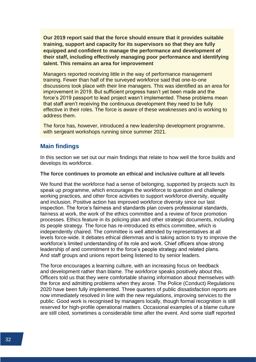**Our 2019 report said that the force should ensure that it provides suitable training, support and capacity for its supervisors so that they are fully equipped and confident to manage the performance and development of their staff, including effectively managing poor performance and identifying talent. This remains an area for improvement**

Managers reported receiving little in the way of performance management training. Fewer than half of the surveyed workforce said that one-to-one discussions took place with their line managers. This was identified as an area for improvement in 2019. But sufficient progress hasn't yet been made and the force's 2019 passport to lead project wasn't implemented. These problems mean that staff aren't receiving the continuous development they need to be fully effective in their roles. The force is aware of these weaknesses and is working to address them.

The force has, however, introduced a new leadership development programme, with sergeant workshops running since summer 2021.

#### <span id="page-34-0"></span>**Main findings**

In this section we set out our main findings that relate to how well the force builds and develops its workforce.

#### **The force continues to promote an ethical and inclusive culture at all levels**

We found that the workforce had a sense of belonging, supported by projects such its speak up programme, which encourages the workforce to question and challenge working practices, and other force activities to support workforce diversity, equality and inclusion. Positive action has improved workforce diversity since our last inspection. The force's fairness and standards plan covers professional standards, fairness at work, the work of the ethics committee and a review of force promotion processes. Ethics feature in its policing plan and other strategic documents, including its people strategy. The force has re-introduced its ethics committee, which is independently chaired. The committee is well attended by representatives at all levels force-wide. It debates ethical dilemmas and is taking action to try to improve the workforce's limited understanding of its role and work. Chief officers show strong leadership of and commitment to the force's people strategy and related plans. And staff groups and unions report being listened to by senior leaders.

The force encourages a learning culture, with an increasing focus on feedback and development rather than blame. The workforce speaks positively about this. Officers told us that they were comfortable sharing information about themselves with the force and admitting problems when they arose. The Police (Conduct) Regulations 2020 have been fully implemented. Three quarters of public dissatisfaction reports are now immediately resolved in line with the new regulations, improving services to the public. Good work is recognised by managers locally, though formal recognition is still reserved for high-profile operational matters. Occasional examples of a blame culture are still cited, sometimes a considerable time after the event. And some staff reported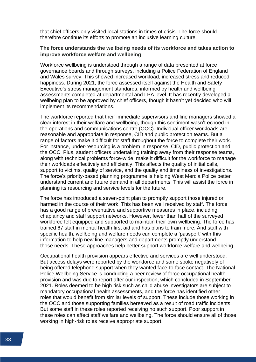that chief officers only visited local stations in times of crisis. The force should therefore continue its efforts to promote an inclusive learning culture.

#### **The force understands the wellbeing needs of its workforce and takes action to improve workforce welfare and wellbeing**

Workforce wellbeing is understood through a range of data presented at force governance boards and through surveys, including a Police Federation of England and Wales survey. This showed increased workload, increased stress and reduced happiness. During 2021, the force assessed itself against the Health and Safety Executive's stress management standards, informed by health and wellbeing assessments completed at departmental and LPA level. It has recently developed a wellbeing plan to be approved by chief officers, though it hasn't yet decided who will implement its recommendations.

The workforce reported that their immediate supervisors and line managers showed a clear interest in their welfare and wellbeing, though this sentiment wasn't echoed in the operations and communications centre (OCC). Individual officer workloads are reasonable and appropriate in response, CID and public protection teams. But a range of factors make it difficult for staff throughout the force to complete their work. For instance, under-resourcing is a problem in response, CID, public protection and the OCC. Plus, student officers undertaking training away from their response teams, along with technical problems force-wide, make it difficult for the workforce to manage their workloads effectively and efficiently. This affects the quality of initial calls, support to victims, quality of service, and the quality and timeliness of investigations. The force's priority-based planning programme is helping West Mercia Police better understand current and future demand in all departments. This will assist the force in planning its resourcing and service levels for the future.

The force has introduced a seven-point plan to promptly support those injured or harmed in the course of their work. This has been well received by staff. The force has a good range of preventative and supportive measures in place, including chaplaincy and staff support networks. However, fewer than half of the surveyed workforce felt equipped and supported to maintain their own wellbeing. The force has trained 67 staff in mental health first aid and has plans to train more. And staff with specific health, wellbeing and welfare needs can complete a 'passport' with this information to help new line managers and departments promptly understand those needs. These approaches help better support workforce welfare and wellbeing.

Occupational health provision appears effective and services are well understood. But access delays were reported by the workforce and some spoke negatively of being offered telephone support when they wanted face-to-face contact. The National Police Wellbeing Service is conducting a peer review of force occupational health provision and was due to report after our inspection, which concluded in September 2021. Roles deemed to be high risk such as child abuse investigators are subject to mandatory occupational health assessments, and the force has identified other roles that would benefit from similar levels of support. These include those working in the OCC and those supporting families bereaved as a result of road traffic incidents. But some staff in these roles reported receiving no such support. Poor support in these roles can affect staff welfare and wellbeing. The force should ensure all of those working in high-risk roles receive appropriate support.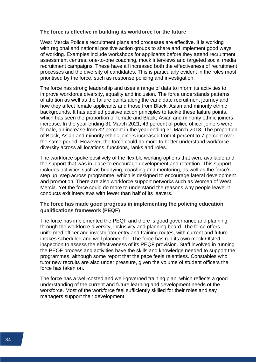#### **The force is effective in building its workforce for the future**

West Mercia Police's recruitment plans and processes are effective. It is working with regional and national positive action groups to share and implement good ways of working. Examples include workshops for applicants before they attend recruitment assessment centres, one-to-one coaching, mock interviews and targeted social media recruitment campaigns. These have all increased both the effectiveness of recruitment processes and the diversity of candidates. This is particularly evident in the roles most prioritised by the force, such as response policing and investigation.

The force has strong leadership and uses a range of data to inform its activities to improve workforce diversity, equality and inclusion. The force understands patterns of attrition as well as the failure points along the candidate recruitment journey and how they affect female applicants and those from Black, Asian and minority ethnic backgrounds. It has applied positive action principles to tackle these failure points, which has seen the proportion of female and Black, Asian and minority ethnic joiners increase. In the year ending 31 March 2021, 43 percent of police officer joiners were female, an increase from 32 percent in the year ending 31 March 2018. The proportion of Black, Asian and minority ethnic joiners increased from 4 percent to 7 percent over the same period. However, the force could do more to better understand workforce diversity across all locations, functions, ranks and roles.

The workforce spoke positively of the flexible working options that were available and the support that was in place to encourage development and retention. This support includes activities such as buddying, coaching and mentoring, as well as the force's step up, step across programme, which is designed to encourage lateral development and promotion. There are also workforce support networks such as Women of West Mercia. Yet the force could do more to understand the reasons why people leave; it conducts exit interviews with fewer than half of its leavers.

#### **The force has made good progress in implementing the policing education qualifications framework (PEQF)**

The force has implemented the PEQF and there is good governance and planning through the workforce diversity, inclusivity and planning board. The force offers uniformed officer and investigator entry and training routes, with current and future intakes scheduled and well planned for. The force has run its own mock Ofsted inspection to assess the effectiveness of its PEQF provision. Staff involved in running the PEQF process and activities have the skills and knowledge needed to support the programmes, although some report that the pace feels relentless. Constables who tutor new recruits are also under pressure, given the volume of student officers the force has taken on.

The force has a well-costed and well-governed training plan, which reflects a good understanding of the current and future learning and development needs of the workforce. Most of the workforce feel sufficiently skilled for their roles and say managers support their development.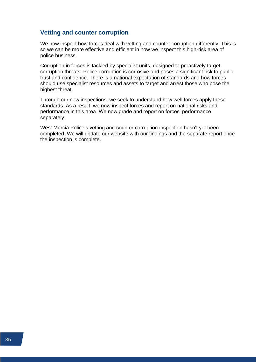### <span id="page-37-0"></span>**Vetting and counter corruption**

We now inspect how forces deal with vetting and counter corruption differently. This is so we can be more effective and efficient in how we inspect this high-risk area of police business.

Corruption in forces is tackled by specialist units, designed to proactively target corruption threats. Police corruption is corrosive and poses a significant risk to public trust and confidence. There is a national expectation of standards and how forces should use specialist resources and assets to target and arrest those who pose the highest threat.

Through our new inspections, we seek to understand how well forces apply these standards. As a result, we now inspect forces and report on national risks and performance in this area. We now grade and report on forces' performance separately.

West Mercia Police's vetting and counter corruption inspection hasn't yet been completed. We will update our website with our findings and the separate report once the inspection is complete.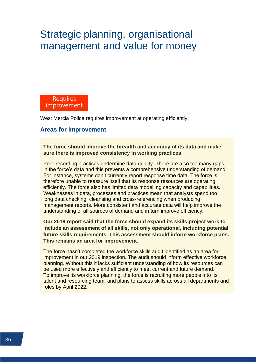# <span id="page-38-0"></span>Strategic planning, organisational management and value for money

**Requires** improvement

West Mercia Police requires improvement at operating efficiently.

#### <span id="page-38-1"></span>**Areas for improvement**

**The force should improve the breadth and accuracy of its data and make sure there is improved consistency in working practices**

Poor recording practices undermine data quality. There are also too many gaps in the force's data and this prevents a comprehensive understanding of demand. For instance, systems don't currently report response time data. The force is therefore unable to reassure itself that its response resources are operating efficiently. The force also has limited data modelling capacity and capabilities. Weaknesses in data, processes and practices mean that analysts spend too long data checking, cleansing and cross-referencing when producing management reports. More consistent and accurate data will help improve the understanding of all sources of demand and in turn improve efficiency.

**Our 2019 report said that the force should expand its skills project work to include an assessment of all skills, not only operational, including potential future skills requirements. This assessment should inform workforce plans. This remains an area for improvement.**

The force hasn't completed the workforce skills audit identified as an area for improvement in our 2019 inspection. The audit should inform effective workforce planning. Without this it lacks sufficient understanding of how its resources can be used more effectively and efficiently to meet current and future demand. To improve its workforce planning, the force is recruiting more people into its talent and resourcing team, and plans to assess skills across all departments and roles by April 2022.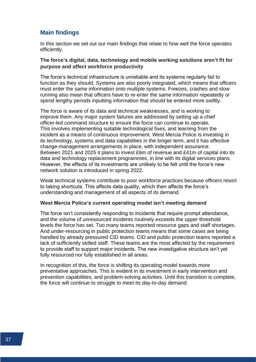### <span id="page-39-0"></span>**Main findings**

In this section we set out our main findings that relate to how well the force operates efficiently.

#### **The force's digital, data, technology and mobile working solutions aren't fit for purpose and affect workforce productivity**

The force's technical infrastructure is unreliable and its systems regularly fail to function as they should. Systems are also poorly integrated, which means that officers must enter the same information onto multiple systems. Freezes, crashes and slow running also mean that officers have to re-enter the same information repeatedly or spend lengthy periods inputting information that should be entered more swiftly.

The force is aware of its data and technical weaknesses, and is working to improve them. Any major system failures are addressed by setting up a chief officer-led command structure to ensure the force can continue to operate. This involves implementing suitable technological fixes, and learning from the incident as a means of continuous improvement. West Mercia Police is investing in its technology, systems and data capabilities in the longer term, and it has effective change-management arrangements in place, with independent assurance. Between 2021 and 2025 it plans to invest £6m of revenue and £41m of capital into its data and technology replacement programmes, in line with its digital services plans. However, the effects of its investments are unlikely to be felt until the force's new network solution is introduced in spring 2022.

Weak technical systems contribute to poor workforce practices because officers resort to taking shortcuts. This affects data quality, which then affects the force's understanding and management of all aspects of its demand.

#### **West Mercia Police's current operating model isn't meeting demand**

The force isn't consistently responding to incidents that require prompt attendance, and the volume of unresourced incidents routinely exceeds the upper threshold levels the force has set. Too many teams reported resource gaps and staff shortages. And under-resourcing in public protection teams means that some cases are being handled by already pressured CID teams. CID and public protection teams reported a lack of sufficiently skilled staff. These teams are the most affected by the requirement to provide staff to support major incidents. The new investigative structure isn't yet fully resourced nor fully established in all areas.

In recognition of this, the force is shifting its operating model towards more preventative approaches. This is evident in its investment in early intervention and prevention capabilities, and problem-solving activities. Until this transition is complete, the force will continue to struggle to meet its day-to-day demand.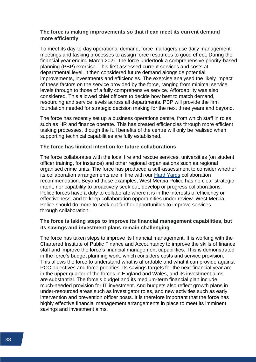#### **The force is making improvements so that it can meet its current demand more efficiently**

To meet its day-to-day operational demand, force managers use daily management meetings and tasking processes to assign force resources to good effect. During the financial year ending March 2021, the force undertook a comprehensive priority-based planning (PBP) exercise. This first assessed current services and costs at departmental level. It then considered future demand alongside potential improvements, investments and efficiencies. The exercise analysed the likely impact of these factors on the service provided by the force, ranging from minimal service levels through to those of a fully comprehensive service. Affordability was also considered. This allowed chief officers to decide how best to match demand, resourcing and service levels across all departments. PBP will provide the firm foundation needed for strategic decision making for the next three years and beyond.

The force has recently set up a business operations centre, from which staff in roles such as HR and finance operate. This has created efficiencies through more efficient tasking processes, though the full benefits of the centre will only be realised when supporting technical capabilities are fully established.

#### **The force has limited intention for future collaborations**

The force collaborates with the local fire and rescue services, universities (on student officer training, for instance) and other regional organisations such as regional organised crime units. The force has produced a self-assessment to consider whether its collaboration arrangements are in line with our [Hard Yards](https://www.justiceinspectorates.gov.uk/hmicfrs/publications/the-hard-yards-police-to-police-collaboration/) collaboration recommendation. Beyond these examples, West Mercia Police has no clear strategic intent, nor capability to proactively seek out, develop or progress collaborations. Police forces have a duty to collaborate where it is in the interests of efficiency or effectiveness, and to keep collaboration opportunities under review. West Mercia Police should do more to seek out further opportunities to improve services through collaboration.

#### **The force is taking steps to improve its financial management capabilities, but its savings and investment plans remain challenging**

The force has taken steps to improve its financial management. It is working with the Chartered Institute of Public Finance and Accountancy to improve the skills of finance staff and improve the force's financial management capabilities. This is demonstrated in the force's budget planning work, which considers costs and service provision. This allows the force to understand what is affordable and what it can provide against PCC objectives and force priorities. Its savings targets for the next financial year are in the upper quarter of the forces in England and Wales, and its investment aims are substantial. The force's budget and its medium-term financial plan include much-needed provision for IT investment. And budgets also reflect growth plans in under-resourced areas such as investigator roles, and new activities such as early intervention and prevention officer posts. It is therefore important that the force has highly effective financial management arrangements in place to meet its imminent savings and investment aims.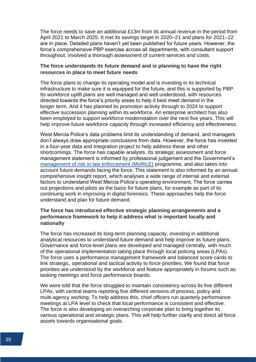The force needs to save an additional £13m from its annual revenue in the period from April 2021 to March 2025. It met its savings target in 2020–21 and plans for 2021–22 are in place. Detailed plans haven't yet been published for future years. However, the force's comprehensive PBP exercise across all departments, with consultant support throughout, involved a thorough assessment of current services and costs.

#### **The force understands its future demand and is planning to have the right resources in place to meet future needs**

The force plans to change its operating model and is investing in its technical infrastructure to make sure it is equipped for the future, and this is supported by PBP. Its workforce uplift plans are well managed and well understood, with resources directed towards the force's priority areas to help it best meet demand in the longer term. And it has planned its promotion activity through to 2024 to support effective succession planning within its workforce. An enterprise architect has also been employed to support workforce modernisation over the next five years. This will help improve future workforce capacity through increased efficiency and effectiveness.

West Mercia Police's data problems limit its understanding of demand, and managers don't always draw appropriate conclusions from data. However, the force has invested in a four-year data and integration project to help address these and other shortcomings. The force has capable analysts. Its strategic assessment and force management statement is informed by professional judgement and the Government's [management of risk in law enforcement \(MoRiLE\)](https://www.justiceinspectorates.gov.uk/hmicfrs/glossary/morile/) programme, and also takes into account future demands facing the force. This statement is also informed by an annual comprehensive insight report, which analyses a wide range of internal and external factors to understand West Mercia Police's operating environment. The force carries out projections and pilots as the basis for future plans, for example as part of its continuing work in improving in digital forensics. These approaches help the force understand and plan for future demand.

#### **The force has introduced effective strategic planning arrangements and a performance framework to help it address what is important locally and nationally**

The force has increased its long-term planning capacity, investing in additional analytical resources to understand future demand and help improve its future plans. Governance and force-level plans are developed and managed centrally, with much of the operational implementation taking place through local policing areas (LPAs). The force uses a performance management framework and balanced score cards to link strategic, operational and tactical activity to force priorities. We found that force priorities are understood by the workforce and feature appropriately in forums such as tasking meetings and force performance boards.

We were told that the force struggled to maintain consistency across its five different LPAs, with central teams reporting five different versions of process, policy and multi-agency working. To help address this, chief officers run quarterly performance meetings at LPA level to check that local performance is consistent and effective. The force is also developing an overarching corporate plan to bring together its various operational and strategic plans. This will help further clarify and direct all force assets towards organisational goals.